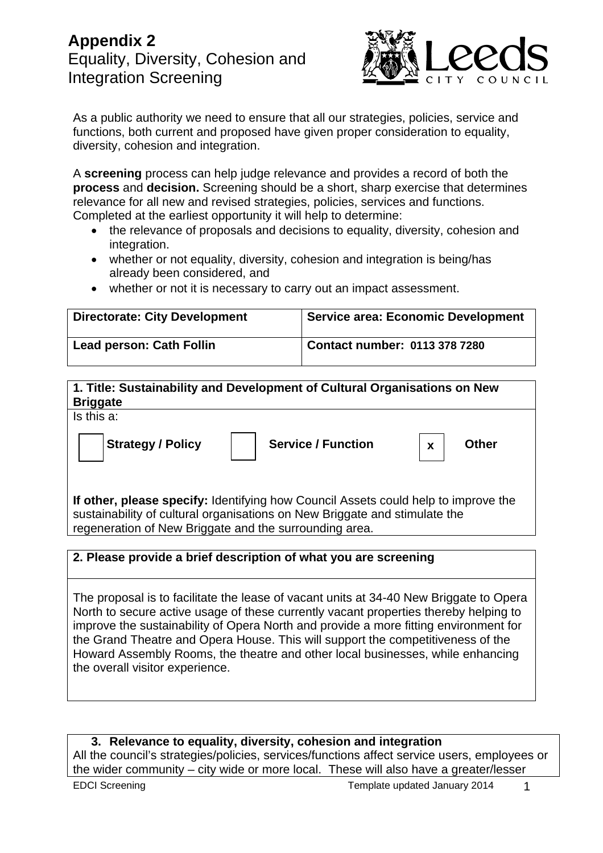# **Appendix 2**  Equality, Diversity, Cohesion and Integration Screening



As a public authority we need to ensure that all our strategies, policies, service and functions, both current and proposed have given proper consideration to equality, diversity, cohesion and integration.

A **screening** process can help judge relevance and provides a record of both the **process** and **decision.** Screening should be a short, sharp exercise that determines relevance for all new and revised strategies, policies, services and functions. Completed at the earliest opportunity it will help to determine:

- the relevance of proposals and decisions to equality, diversity, cohesion and integration.
- whether or not equality, diversity, cohesion and integration is being/has already been considered, and
- whether or not it is necessary to carry out an impact assessment.

| <b>Directorate: City Development</b> | Service area: Economic Development |
|--------------------------------------|------------------------------------|
| <b>Lead person: Cath Follin</b>      | Contact number: $01133787280$      |

## **1. Title: Sustainability and Development of Cultural Organisations on New Briggate**

Is this a:

Strategy / Policy | Service / Function | x | Other

**x** 

**If other, please specify:** Identifying how Council Assets could help to improve the sustainability of cultural organisations on New Briggate and stimulate the regeneration of New Briggate and the surrounding area.

## **2. Please provide a brief description of what you are screening**

The proposal is to facilitate the lease of vacant units at 34-40 New Briggate to Opera North to secure active usage of these currently vacant properties thereby helping to improve the sustainability of Opera North and provide a more fitting environment for the Grand Theatre and Opera House. This will support the competitiveness of the Howard Assembly Rooms, the theatre and other local businesses, while enhancing the overall visitor experience.

**3. Relevance to equality, diversity, cohesion and integration**  All the council's strategies/policies, services/functions affect service users, employees or the wider community – city wide or more local. These will also have a greater/lesser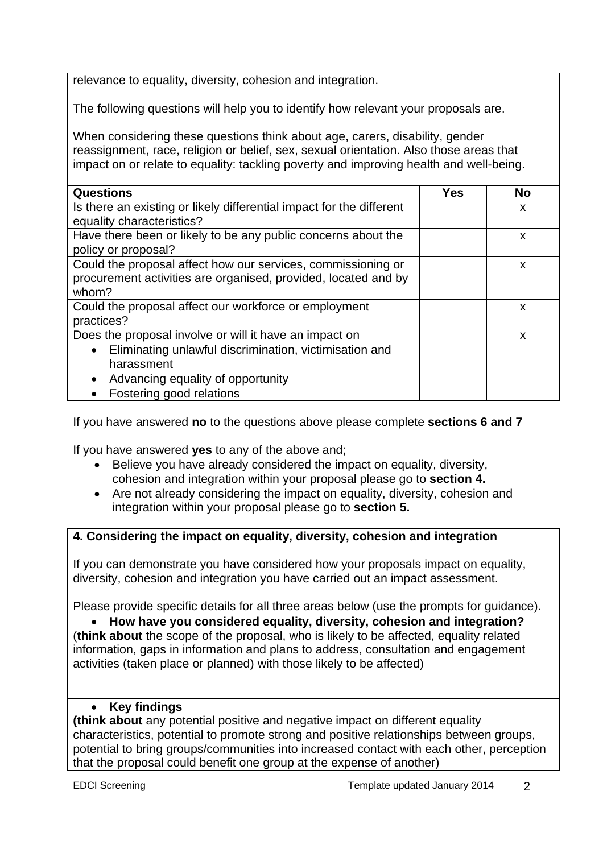relevance to equality, diversity, cohesion and integration.

The following questions will help you to identify how relevant your proposals are.

When considering these questions think about age, carers, disability, gender reassignment, race, religion or belief, sex, sexual orientation. Also those areas that impact on or relate to equality: tackling poverty and improving health and well-being.

| <b>Questions</b>                                                     | <b>Yes</b> | <b>No</b> |
|----------------------------------------------------------------------|------------|-----------|
| Is there an existing or likely differential impact for the different |            | X         |
| equality characteristics?                                            |            |           |
| Have there been or likely to be any public concerns about the        |            | X         |
| policy or proposal?                                                  |            |           |
| Could the proposal affect how our services, commissioning or         |            | X         |
| procurement activities are organised, provided, located and by       |            |           |
| whom?                                                                |            |           |
| Could the proposal affect our workforce or employment                |            | X         |
| practices?                                                           |            |           |
| Does the proposal involve or will it have an impact on               |            | X         |
| Eliminating unlawful discrimination, victimisation and<br>$\bullet$  |            |           |
| harassment                                                           |            |           |
| Advancing equality of opportunity<br>$\bullet$                       |            |           |
| Fostering good relations                                             |            |           |

If you have answered **no** to the questions above please complete **sections 6 and 7**

If you have answered **yes** to any of the above and;

- Believe you have already considered the impact on equality, diversity, cohesion and integration within your proposal please go to **section 4.**
- Are not already considering the impact on equality, diversity, cohesion and integration within your proposal please go to **section 5.**

## **4. Considering the impact on equality, diversity, cohesion and integration**

If you can demonstrate you have considered how your proposals impact on equality, diversity, cohesion and integration you have carried out an impact assessment.

Please provide specific details for all three areas below (use the prompts for guidance).

 **How have you considered equality, diversity, cohesion and integration?**  (**think about** the scope of the proposal, who is likely to be affected, equality related information, gaps in information and plans to address, consultation and engagement activities (taken place or planned) with those likely to be affected)

### **Key findings**

**(think about** any potential positive and negative impact on different equality characteristics, potential to promote strong and positive relationships between groups, potential to bring groups/communities into increased contact with each other, perception that the proposal could benefit one group at the expense of another)